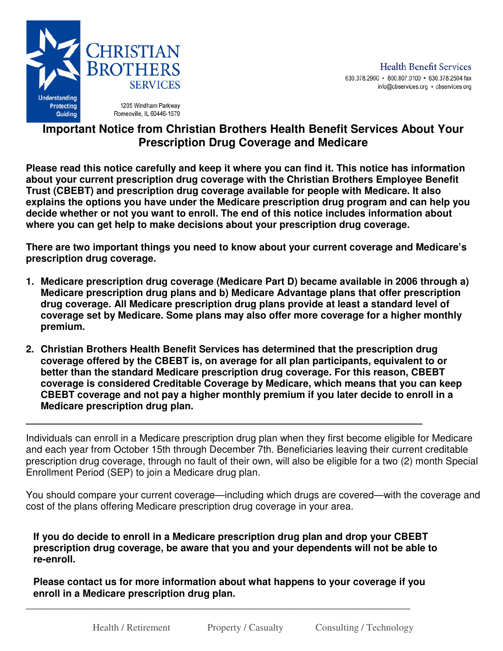

## **Important Notice from Christian Brothers Health Benefit Services About Your Prescription Drug Coverage and Medicare**

**Please read this notice carefully and keep it where you can find it. This notice has information about your current prescription drug coverage with the Christian Brothers Employee Benefit Trust (CBEBT) and prescription drug coverage available for people with Medicare. It also explains the options you have under the Medicare prescription drug program and can help you decide whether or not you want to enroll. The end of this notice includes information about where you can get help to make decisions about your prescription drug coverage.** 

**There are two important things you need to know about your current coverage and Medicare's prescription drug coverage.** 

- **1. Medicare prescription drug coverage (Medicare Part D) became available in 2006 through a) Medicare prescription drug plans and b) Medicare Advantage plans that offer prescription drug coverage. All Medicare prescription drug plans provide at least a standard level of coverage set by Medicare. Some plans may also offer more coverage for a higher monthly premium.**
- **2. Christian Brothers Health Benefit Services has determined that the prescription drug coverage offered by the CBEBT is, on average for all plan participants, equivalent to or better than the standard Medicare prescription drug coverage. For this reason, CBEBT coverage is considered Creditable Coverage by Medicare, which means that you can keep CBEBT coverage and not pay a higher monthly premium if you later decide to enroll in a Medicare prescription drug plan.**

**\_\_\_\_\_\_\_\_\_\_\_\_\_\_\_\_\_\_\_\_\_\_\_\_\_\_\_\_\_\_\_\_\_\_\_\_\_\_\_\_\_\_\_\_\_\_\_\_\_\_\_\_\_\_\_\_\_\_\_\_\_\_** 

Individuals can enroll in a Medicare prescription drug plan when they first become eligible for Medicare and each year from October 15th through December 7th. Beneficiaries leaving their current creditable prescription drug coverage, through no fault of their own, will also be eligible for a two (2) month Special Enrollment Period (SEP) to join a Medicare drug plan.

You should compare your current coverage—including which drugs are covered—with the coverage and cost of the plans offering Medicare prescription drug coverage in your area.

**If you do decide to enroll in a Medicare prescription drug plan and drop your CBEBT prescription drug coverage, be aware that you and your dependents will not be able to re-enroll.** 

**Please contact us for more information about what happens to your coverage if you enroll in a Medicare prescription drug plan.** 

\_\_\_\_\_\_\_\_\_\_\_\_\_\_\_\_\_\_\_\_\_\_\_\_\_\_\_\_\_\_\_\_\_\_\_\_\_\_\_\_\_\_\_\_\_\_\_\_\_\_\_\_\_\_\_\_\_\_\_\_\_\_\_\_\_\_\_\_\_\_\_\_\_\_\_\_\_\_